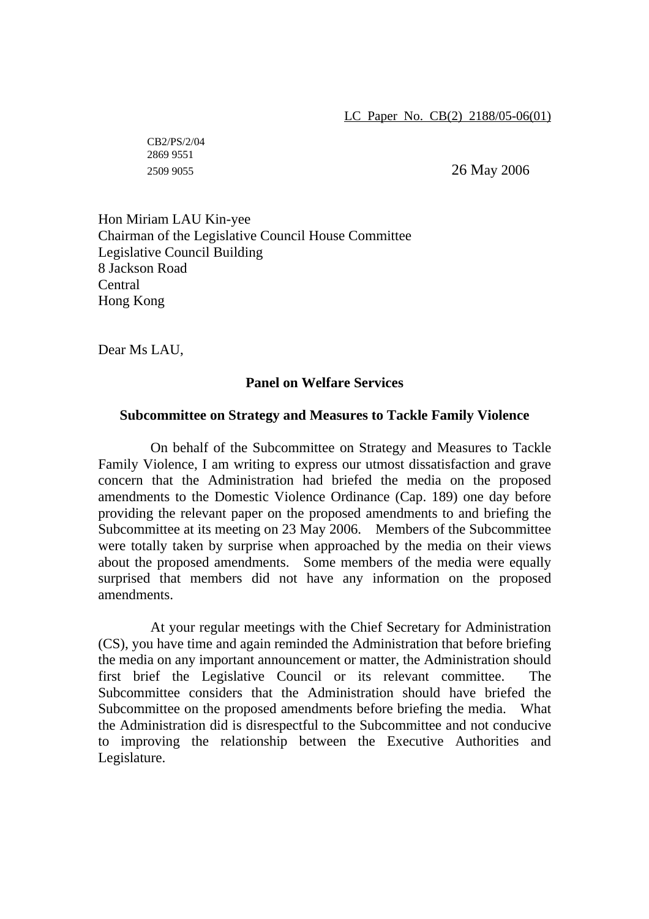CB2/PS/2/04 2869 9551

2509 9055 26 May 2006

Hon Miriam LAU Kin-yee Chairman of the Legislative Council House Committee Legislative Council Building 8 Jackson Road **Central** Hong Kong

Dear Ms LAU,

## **Panel on Welfare Services**

## **Subcommittee on Strategy and Measures to Tackle Family Violence**

 On behalf of the Subcommittee on Strategy and Measures to Tackle Family Violence, I am writing to express our utmost dissatisfaction and grave concern that the Administration had briefed the media on the proposed amendments to the Domestic Violence Ordinance (Cap. 189) one day before providing the relevant paper on the proposed amendments to and briefing the Subcommittee at its meeting on 23 May 2006. Members of the Subcommittee were totally taken by surprise when approached by the media on their views about the proposed amendments. Some members of the media were equally surprised that members did not have any information on the proposed amendments.

At your regular meetings with the Chief Secretary for Administration (CS), you have time and again reminded the Administration that before briefing the media on any important announcement or matter, the Administration should first brief the Legislative Council or its relevant committee. The Subcommittee considers that the Administration should have briefed the Subcommittee on the proposed amendments before briefing the media. What the Administration did is disrespectful to the Subcommittee and not conducive to improving the relationship between the Executive Authorities and Legislature.